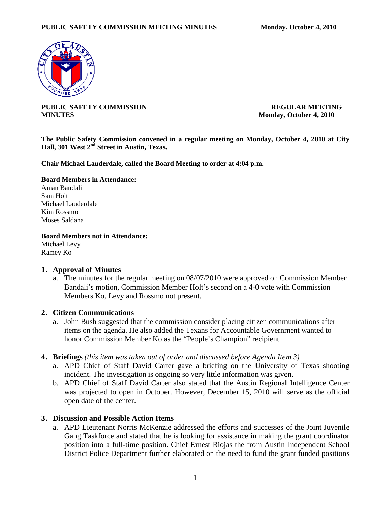

**PUBLIC SAFETY COMMISSION REGULAR MEETING MINUTES** Monday, October 4, 2010

**The Public Safety Commission convened in a regular meeting on Monday, October 4, 2010 at City Hall, 301 West 2nd Street in Austin, Texas.** 

**Chair Michael Lauderdale, called the Board Meeting to order at 4:04 p.m.** 

### **Board Members in Attendance:**

Aman Bandali Sam Holt Michael Lauderdale Kim Rossmo Moses Saldana

**Board Members not in Attendance:** 

Michael Levy Ramey Ko

### **1. Approval of Minutes**

a. The minutes for the regular meeting on 08/07/2010 were approved on Commission Member Bandali's motion, Commission Member Holt's second on a 4-0 vote with Commission Members Ko, Levy and Rossmo not present.

### **2. Citizen Communications**

- a. John Bush suggested that the commission consider placing citizen communications after items on the agenda. He also added the Texans for Accountable Government wanted to honor Commission Member Ko as the "People's Champion" recipient.
- **4. Briefings** *(this item was taken out of order and discussed before Agenda Item 3)*
	- a. APD Chief of Staff David Carter gave a briefing on the University of Texas shooting incident. The investigation is ongoing so very little information was given.
	- b. APD Chief of Staff David Carter also stated that the Austin Regional Intelligence Center was projected to open in October. However, December 15, 2010 will serve as the official open date of the center.

## **3. Discussion and Possible Action Items**

a. APD Lieutenant Norris McKenzie addressed the efforts and successes of the Joint Juvenile Gang Taskforce and stated that he is looking for assistance in making the grant coordinator position into a full-time position. Chief Ernest Riojas the from Austin Independent School District Police Department further elaborated on the need to fund the grant funded positions